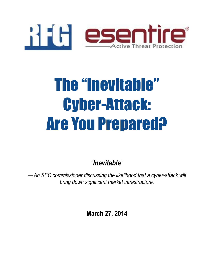

# The "Inevitable" Cyber-Attack: Are You Prepared?

*"Inevitable"*

*— An SEC commissioner discussing the likelihood that a cyber-attack will bring down significant market infrastructure.*

**March 27, 2014**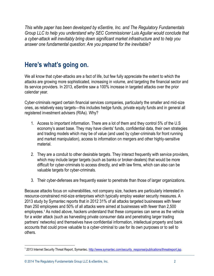*This white paper has been developed by eSentire, Inc. and The Regulatory Fundamentals Group LLC to help you understand why SEC Commissioner Luis Aguilar would conclude that a cyber-attack will inevitably bring down significant market infrastructure and to help you answer one fundamental question: Are you prepared for the inevitable?*

#### **Here's what's going on.**

We all know that cyber-attacks are a fact of life, but few fully appreciate the extent to which the attacks are growing more sophisticated, increasing in volume, and targeting the financial sector and its service providers. In 2013, eSentire saw a 100% increase in targeted attacks over the prior calendar year.

Cyber-criminals regard certain financial services companies, particularly the smaller and mid-size ones, as relatively easy targets—this includes hedge funds, private equity funds and in general all registered investment advisers (RIAs). Why?

- 1. Access to important information. There are a lot of them and they control 5% of the U.S economy's asset base. They may have clients' funds, confidential data, their own strategies and trading models which may be of value (and used by cyber-criminals for front running and market manipulation), access to information on mergers and other highly-sensitive material.
- 2. They are a conduit to other desirable targets. They interact frequently with service providers, which may include larger targets (such as banks or broker-dealers) that would be more difficult for cyber-criminals to access directly, and with law firms, which can also can be valuable targets for cyber-criminals.
- 3. Their cyber-defenses are frequently easier to penetrate than those of larger organizations.

Because attacks focus on vulnerabilities, not company size, hackers are particularly interested in resource-constrained mid-size enterprises which typically employ weaker security measures. A 2013 study by Symantec reports that in 2012 31% of all attacks targeted businesses with fewer than 250 employees and 50% of all attacks were aimed at businesses with fewer than 2,500 employees.<sup>1</sup> As noted above, hackers understand that these companies can serve as the vehicle for a wider attack (such as harvesting private consumer data and penetrating larger trading partners' networks) and themselves have confidential information, intellectual property and bank accounts that could prove valuable to a cyber-criminal to use for its own purposes or to sell to others.

 $\overline{a}$ <sup>1</sup> 2013 Internet Security Threat Report, Symantec. [http://www.symantec.com/security\\_response/publications/threatreport.jsp.](http://www.symantec.com/security_response/publications/threatreport.jsp)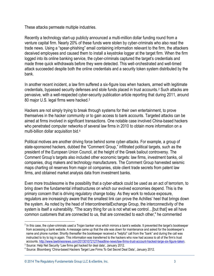These attacks permeate multiple industries.

Recently a technology start-up publicly announced a multi-million dollar funding round from a venture capital firm. Nearly 20% of these funds were stolen by cyber-criminals who also read the trade news. Using a "spear-phishing" email containing information relevant to the firm, the attackers deceived employees and caused them to install a keystroke logger at the target firm. When the firm logged into its online banking service, the cyber-criminals captured the target's credentials and made three quick withdrawals before they were detected. This well-orchestrated and well-timed attack succeeded despite both the online credentials and a security token system distributed by the bank.

In another recent incident, a law firm suffered a six-figure loss when hackers, armed with legitimate credentials, bypassed security defenses and stole funds placed in trust accounts.<sup>2</sup> Such attacks are pervasive, with a well-respected cyber-security publication article reporting that during 2011, around 80 major U.S. legal firms were hacked.<sup>3</sup>

Hackers are not simply trying to break through systems for their own entertainment, to prove themselves in the hacker community or to gain access to bank accounts. Targeted attacks can be aimed at firms involved in significant transactions. One notable case involved China-based hackers who penetrated computer networks of several law firms in 2010 to obtain more information on a multi-billion dollar acquisition bid. 4

Political motives are another driving force behind some cyber-attacks. For example, a group of state-sponsored hackers, dubbed the "Comment Group," infiltrated political targets, such as the president of the European Union Council, at the height of the Greek bailout controversy. The Comment Group's targets also included other economic targets: law firms, investment banks, oil companies, drug makers and technology manufacturers. The Comment Group harvested seismic maps charting oil reserves from major oil companies, stole client trade secrets from patent law firms, and obtained market analysis data from investment banks.

Even more troublesome is the possibility that a cyber-attack could be used as an act of terrorism, to bring down the fundamental infrastructures on which our evolved economies depend. This is the primary concern that is driving regulatory change today. As they work to reduce exposure, regulators are increasingly aware that the smallest link can prove the Achilles' heel that brings down the system. As noted by the head of IntercontinentalExchange Group, the interconnectivity of the system is itself a vulnerability. "The scary thing for us is not what we control…[but that] we all have common customers that are connected to us, that are connected to each other," he commented

<sup>&</sup>lt;sup>2</sup> In this case, the cyber-criminals used a Trojan banker virus which mirrors a bank's website. It prevented the target's bookkeeper from accessing a bank website. A message came up that the site was down for maintenance and asked for the bookkeeper's name and phone number. Shortly thereafter the bookkeeper received a "helpful" call from the "bank" and during the call was instructed to try to log in again. This information was transferred to the hackers who now had access to all of the firm's trust accounts[. http://www.lawtimesnews.com/201301072127/headline-news/law-firms-trust-account-hacked-large-six-figure-taken.](http://www.lawtimesnews.com/201301072127/headline-news/law-firms-trust-account-hacked-large-six-figure-taken)

<sup>&</sup>lt;sup>3</sup> Source: Help Net Security 'Law firms get hacked for deal data', January 2012.

<sup>4</sup> Source: Bloomberg 'China-based Hackers Target Law Firms To Get Secret Deal Data', January 2012.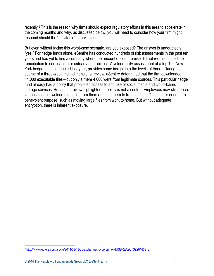recently.<sup>5</sup> This is the reason why firms should expect regulatory efforts in this area to accelerate in the coming months and why, as discussed below, you will need to consider how your firm might respond should the "inevitable" attack occur.

But even without facing this worst-case scenario, are you exposed? The answer is undoubtedly "yes." For hedge funds alone, eSentire has conducted hundreds of risk assessments in the past ten years and has yet to find a company where the amount of compromise did not require immediate remediation to correct high or critical vulnerabilities. A vulnerability assessment at a top 100 New York hedge fund, conducted last year, provides some insight into the levels of threat. During the course of a three-week multi-dimensional review, eSentire determined that the firm downloaded 14,000 executable files—but only a mere 4,000 were from legitimate sources. This particular hedge fund already had a policy that prohibited access to and use of social media and cloud-based storage services. But as the review highlighted, a policy is not a control. Employees may still access various sites, download materials from them and use them to transfer files. Often this is done for a benevolent purpose, such as moving large files from work to home. But without adequate encryption, there is inherent exposure.

<sup>&</sup>lt;sup>5</sup> [http://www.reuters.com/article/2014/03/13/us-exchanges-cybercrime-idUSBREA2C1SZ20140313.](http://www.reuters.com/article/2014/03/13/us-exchanges-cybercrime-idUSBREA2C1SZ20140313)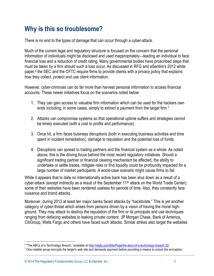## **Why is this so troublesome?**

There is no end to the types of damage that can occur through a cyber-attack.

Much of the current legal and regulatory structure is focused on the concern that the personal information of individuals might be disclosed and used inappropriately—leading an individual to face financial loss and a reduction of credit rating. Many governmental bodies have proscribed steps that must be taken by a firm should such a loss occur. As discussed in RFG and eSentire's 2012 white paper,<sup>6</sup> the SEC and the CFTC require firms to provide clients with a privacy policy that explains how they collect, protect and use client information.

However, cyber-criminals can do far more than harvest personal information to access financial accounts. These newer initiatives focus on the scenarios noted below:

- 1. They can gain access to valuable firm information which can be used for the hackers own ends including, in some cases, simply to extract a payment from the target firm.<sup>7</sup>
- 2. Attacks can compromise systems so that operational uptime suffers and strategies cannot be timely executed (with a cost to profits and performance).
- 3. Once hit, a firm faces business disruptions (both in executing business activities and time spent in incident remediation), damage to reputation and the potential loss of funds.
- 4. Disruptions can spread to trading partners and the financial system as a whole. As noted above, this is the driving focus behind the most recent regulatory initiatives. Should a significant trading partner or financial clearing mechanism be affected, the ability to undertake or settle trades, mitigate risks or find liquidity could be profoundly impacted for a large number of market participants. A worst-case scenario might cause firms to fail.

While it appears that to date no internationally active bank has been shut down as a result of a cyber-attack (except indirectly as a result of the September 11<sup>th</sup> attack on the World Trade Center), some of their websites have been rendered useless for periods of time. Also, they constantly face nuisance and brand attacks.

Moreover, during 2013 at least ten major banks faced attacks by "hacktivists." This is yet another category of cyber-threat which arises from persons driven by a vision of having the moral highground. They may attack to destroy the reputation of the firm or its principals and use techniques ranging from defacing websites to leaking private content. JP Morgan Chase, Bank of America, CitiGroup, Wells Fargo and others have faced such attacks. Similar strikes also target the websites

<sup>&</sup>lt;sup>6</sup> "The ABCs of a Technology Breach," available at [http://regfg.com/Site/Page/the-abcs-of-a-technology-breach-32/.](http://regfg.com/Site/Page/the-abcs-of-a-technology-breach-32/)

 $<sup>7</sup>$  One notable group encrypts the target's web site and demands payment before providing a means to unlock the encryption.</sup>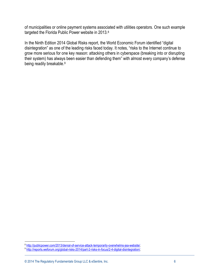of municipalities or online payment systems associated with utilities operators. One such example targeted the Florida Public Power website in 2013.<sup>8</sup>

In the Ninth Edition 2014 Global Risks report, the World Economic Forum identified "digital disintegration" as one of the leading risks faced today. It notes, "risks to the Internet continue to grow more serious for one key reason: attacking others in cyberspace (breaking into or disrupting their system) has always been easier than defending them" with almost every company's defense being readily breakable.<sup>9</sup>

e<br>| http://publicpower.com/2013/denial-of-service-attack-temporarily-overwhelms-jea-website/<br>| http://reports.weforum.org/global-risks-2014/part-2-risks-in-focus/2-4-digital-disintegration/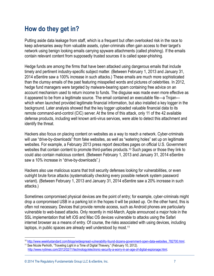# **How do they get in?**

Putting aside data leakage from staff, which is a frequent but often overlooked risk in the race to keep adversaries away from valuable assets, cyber-criminals often gain access to their target's network using benign looking emails carrying spyware attachments (called phishing). If the emails contain relevant content from supposedly trusted sources it is called spear-phishing.

Hedge funds are among the firms that have been attacked using dangerous emails that include timely and pertinent industry-specific subject matter. (Between February 1, 2013 and January 31, 2014 eSentire saw a 100% increase in such attacks.) These emails are much more sophisticated than the clumsy emails of the past featuring misspelled words and pictures of celebrities. In 2012, hedge fund managers were targeted by malware-bearing spam containing free advice on an account mechanism used to return income to funds. The disguise was made even more effective as it appeared to be from a legitimate source. The email contained an executable file—a Trojan which when launched provided legitimate financial information, but also installed a key logger in the background. Later analysis showed that the key logger uploaded valuable financial data to its remote command-and-control (CIC) server. At the time of this attack, only 11 of the 42 available defense products, including well known anti-virus services, were able to detect this attachment and identify the threat.

Hackers also focus on placing content on websites as a way to reach a network. Cyber-criminals will use "drive-by-downloads" from fake websites, as well as "watering holes" set up on legitimate websites. For example, a February 2013 press report describes pages on official U.S. Government websites that contain content to promote third-parties products.<sup>10</sup> Such pages or those they link to could also contain malicious content. (Between February 1, 2013 and January 31, 2014 eSentire saw a 10% increase in "drive-by-downloads".)

Hackers also use malicious scans that troll security defenses looking for vulnerabilities, or even outright brute force attacks (systematically checking every possible network system password variant). (Between February 1, 2013 and January 31, 2014 eSentire saw a 20% increase in such attacks.)

Sometimes compromised physical devices are the point of entry; for example, cyber-criminals might drop a compromised USB in a parking lot in the hopes it will be picked up. On the other hand, this is often not necessary. Devices that provide remote access, such as Android phones are particularly vulnerable to web-based attacks. Only recently in mid-March, Apple announced a major hole in the SSL implementation that left iOS and Mac OS devices vulnerable to attacks using the Safari internet browser as a means of entry. Of course, the risks associated with using devices, including laptops, in public spaces are already well understood by most.<sup>11</sup>

<sup>&</sup>lt;sup>10</sup> [http://www.weeklystandard.com/blogs/widespread-vulnerability-found-dozens-government-open-data-websites\\_782700.html.](http://www.weeklystandard.com/blogs/widespread-vulnerability-found-dozens-government-open-data-websites_782700.html) <sup>11</sup> See Nicole Perlroth, "Traveling Light in a Time of Digital Thievery," (February 10, 2012).

[http://www.nytimes.com/2012/02/11/technology/electronic-security-a-worry-in-an-age-of-digital-espionage.html.](http://www.nytimes.com/2012/02/11/technology/electronic-security-a-worry-in-an-age-of-digital-espionage.html)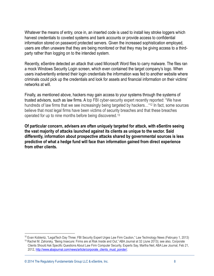Whatever the means of entry, once in, an inserted code is used to install key stroke loggers which harvest credentials to coveted systems and bank accounts or provide access to confidential information stored on password protected servers. Given the increased sophistication employed, users are often unaware that they are being monitored or that they may be giving access to a thirdparty rather than logging on to the intended system.

Recently, eSentire detected an attack that used Microsoft Word files to carry malware. The files ran a mock Windows Security Login screen, which even contained the target company's logo. When users inadvertently entered their login credentials the information was fed to another website where criminals could pick up the credentials and look for assets and financial information on their victims' networks at will.

Finally, as mentioned above, hackers may gain access to your systems through the systems of trusted advisors, such as law firms. A top FBI cyber-security expert recently reported: "We have hundreds of law firms that we see increasingly being targeted by hackers... "<sup>12</sup> In fact, some sources believe that most legal firms have been victims of security breaches and that these breaches operated for up to nine months before being discovered.<sup>13</sup>

**Of particular concern, advisers are often uniquely targeted for attack, with eSentire seeing the vast majority of attacks launched against its clients as unique to the sector. Said differently, information about prospective attacks shared by governmental sources is less predictive of what a hedge fund will face than information gained from direct experience from other clients.**

© 2014 The Regulatory Fundamentals Group LLC & eSentire, Inc. 8

<sup>&</sup>lt;sup>12</sup> Evan Koblentz, "LegalTech Day Three: FBI Security Expert Urges Law Firm Caution," Law Technology News (February 1, 2013)

<sup>13</sup> Rachel M. Zahorsky, "Being Insecure: Firms are at Risk Inside and Out," ABA Journal at 32 (June 2013); see also, Corporate Clients Should Ask Specific Questions About Law Firm Computer Security, Experts Say, Martha Neil, ABA Law Journal, Feb 21, 2012, http://www.abajournal.com/news/article/corporate\_clients\_must\_ponder/.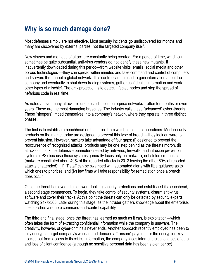## **Why is so much damage done?**

Most defenses simply are not effective. Most security incidents go undiscovered for months and many are discovered by external parties, not the targeted company itself.

New viruses and methods of attack are constantly being created. For a period of time, which can sometimes be quite substantial, anti-virus vendors do not identify these new mutants. If inadvertently downloaded during this period—from website visits, emails, social media and other porous technologies—-they can spread within minutes and take command and control of computers and servers throughout a global network. This control can be used to gain information about the company and eventually to shut down trading systems, gather confidential information and work other types of mischief. The *only* protection is to detect infected nodes and stop the spread of nefarious code in real time.

As noted above, many attacks lie undetected inside enterprise networks—often for months or even years. These are the most damaging breaches. The industry calls these "advanced" cyber-threats. These "sleepers" imbed themselves into a company's network where they operate in three distinct phases.

The first is to establish a beachhead on the inside from which to conduct operations. Most security products on the market today are designed to prevent this type of breach—they look outward to prevent intrusion. However, hackers take advantage of four gaps: (i) designed to prevent the reoccurrence of recognized attacks, products may be one step behind as the threats morph, (ii) attacks outflank the defensive perimeter created by anti-virus, firewalls, and intrusion prevention systems (IPS) because these systems generally focus only on malware, not stolen credentials (malware constituted about 40% of the reported attacks in 2013 leaving the other 60% of reported attacks unattended); (iii) IT staff can be swamped with automated alerts with little guidance as to which ones to prioritize, and (iv) few firms will take responsibility for remediation once a breach does occur.

Once the threat has evaded all outward-looking security protections and established its beachhead, a second stage commences. To begin, they take control of security systems, disarm anti-virus software and cover their tracks. At this point the threats can only be detected by security experts watching 24x7x365. Later during this stage, as the intruder gathers knowledge about the enterprise, it establishes a remote command-and-control capability.

The third and final stage, once the threat has learned as much as it can, is exploitation—which often takes the form of extracting confidential information while the company is unaware. The creativity, however, of cyber-criminals never ends. Another approach recently employed has been to fully encrypt a target company's website and demand a "ransom" payment for the encryption key. Locked out from access to its critical information, the company faces internal disruption, loss of data and loss of client confidence (although no sensitive personal data has been stolen per se).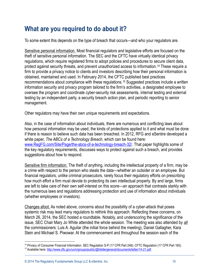### **What are you required to do about it?**

To some extent this depends on the type of breach that occurs—and who your regulators are.

Sensitive personal information. Most financial regulators and legislative efforts are focused on the theft of sensitive personal information. The SEC and the CFTC have virtually identical privacy regulations, which require registered firms to adopt policies and procedures to secure client data, protect against security threats, and prevent unauthorized access to information. <sup>14</sup> These require a firm to provide a privacy notice to clients and investors describing how their personal information is obtained, maintained and used. In February 2014, the CFTC published best practices recommendations about compliance with these regulations.<sup>15</sup> Suggested practices include a written information security and privacy program tailored to the firm's activities, a designated employee to oversee the program and coordinate cyber-security risk assessments, internal testing and external testing by an independent party, a security breach action plan, and periodic reporting to senior management.

Other regulators may have their own unique requirements and expectations.

Also, in the case of information about individuals, there are numerous and conflicting laws about how personal information may be used, the kinds of protections applied to it and what must be done if there is reason to believe such data has been breached. In 2012, RFG and eSentire developed a white paper, *The ABCs of a Technology Breach*, which can be found here: [www.RegFG.com/Site/Page/the-abcs-of-a-technology-breach-32/.](http://www.regfg.com/Site/Page/the-abcs-of-a-technology-breach-32/) That paper highlights some of the key regulatory requirements, discusses ways to protect against such a breach, and provides suggestions about how to respond.

Sensitive firm information. The theft of anything, including the intellectual property of a firm, may be a crime with respect to the person who steals the data—whether an outsider or an employee. But financial regulators, unlike criminal prosecutors, rarely focus their regulatory efforts on prescribing how much effort a firm must devote to protecting its own intellectual property. By and large, firms are left to take care of their own self-interest on this score—an approach that contrasts starkly with the numerous laws and regulations addressing protection and use of information about individuals (whether employees or investors).

Changes afoot. As noted above, concerns about the possibility of a cyber-attack that poses systemic risk may lead many regulators to rethink this approach. Reflecting these concerns, on March 26, 2014, the SEC hosted a roundtable. Notably, and underscoring the significance of the issue, SEC Chair Mary Jo White attended the whole session. The meeting was also attended by *all* the commissioners: Luis A. Aguilar (the initial force behind the meeting), Daniel Gallagher, Kara Stein and Michael S. Piwowar. At the commencement and throughout the session each of the

 $\overline{a}$ <sup>14</sup> Privacy of Consumer Financial Information. SEC Regulation S-P (17 CFR Part 248); CFTC Regulation (17 CFR Part 160). <sup>15</sup> Available here: [http://www.cftc.gov/ucm/groups/public/@lrlettergeneral/documents/letter/14-21.pdf.](http://www.cftc.gov/ucm/groups/public/@lrlettergeneral/documents/letter/14-21.pdf)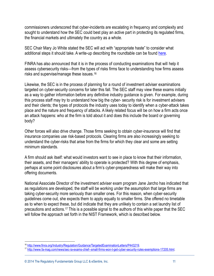commissioners underscored that cyber-incidents are escalating in frequency and complexity and sought to understand how the SEC could best play an active part in protecting its regulated firms, the financial markets and ultimately the country as a whole.

SEC Chair Mary Jo White stated the SEC will act with "appropriate haste" to consider what additional steps it should take. A write-up describing the roundtable can be found [here.](https://regfg.com/Site/page/sec-cybersecurity-roundtable-areas-of-note-83/)

FINRA has also announced that it is in the process of conducting examinations that will help it assess cybersecurity risks—from the types of risks firms face to understanding how firms assess risks and supervise/manage these issues.<sup>16</sup>

Likewise, the SEC is in the process of planning for a round of investment adviser examinations targeted on cyber-security concerns for later this fall. The SEC staff may view these exams initially as a way to gather information before any definitive industry guidance is given. For example, during this process staff may try to understand how big the cyber- security risk is for investment advisers and their clients; the types of protocols the industry uses today to identify when a cyber-attack takes place and the nature and frequency of attacks. A likely related focus will be on how a firm acts once an attack happens: who at the firm is told about it and does this include the board or governing body?

Other forces will also drive change. Those firms seeking to obtain cyber-insurance will find that insurance companies use risk-based protocols. Clearing firms are also increasingly seeking to understand the cyber-risks that arise from the firms for which they clear and some are setting minimum standards.

A firm should ask itself: what would investors want to see in place to know that their information, their assets, and their managers' ability to operate is protected? With this degree of emphasis, perhaps at some point disclosures about a firm's cyber-preparedness will make their way into offering documents.

National Associate Director of the investment adviser exam program Jane Jarcho has indicated that as regulations are developed, the staff will be working under the assumption that large firms are taking cyber-security more seriously than smaller ones. For this reason, when cyber-security guidelines come out, she expects them to apply equally to smaller firms. She offered no timetable as to when to expect these, but did indicate that they are unlikely to contain a set laundry list of precautions and actions.<sup>17</sup> This is a possible signal to the authors of this white paper that the SEC will follow the approach set forth in the NIST Framework, which is described below.

 $\overline{a}$ <sup>16</sup> [http://www.finra.org/Industry/Regulation/Guidance/TargetedExaminationLetters/P443219.](http://www.finra.org/Industry/Regulation/Guidance/TargetedExaminationLetters/P443219) 

<sup>17</sup> [http://www.fa-mag.com/news/sec-ia-exams-chief--small-firms-won-t-get-cyber-security-rules-exemptions-17205.html.](http://www.fa-mag.com/news/sec-ia-exams-chief--small-firms-won-t-get-cyber-security-rules-exemptions-17205.html)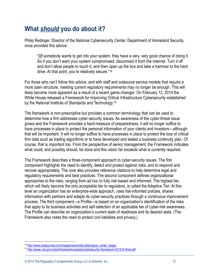## **What** *should* **you do about it?**

Philip Reitinger, Director of the National Cybersecurity Center, Department of Homeland Security, once provided this advice:

"[I]f somebody wants to get into your system, they have a very, very good chance of doing it. So if you don't want your system compromised, disconnect it from the Internet. Turn it off and don't allow people to touch it, and then open up the box and take a hammer to the hard drive. At that point, you're relatively secure."<sup>18</sup>

For those who can't follow this advice, and with staff and outsource service models that require a more open structure, meeting current regulatory requirements may no longer be enough. This will likely become more apparent as a result of a recent game-changer: On February 12, 2014 the White House released a Framework for Improving Critical Infrastructure Cybersecurity established by the National Institute of Standards and Technology.<sup>19</sup>

The framework is non-prescriptive but provides a common terminology that can be used to determine how a firm addresses cyber-security issues. As awareness of the cyber-threat issue grows and the Framework provides a hard-measure of preparedness, it will no longer suffice to have processes in place to protect the personal information of your clients and investors—although that will be important. It will no longer suffice to have processes in place to protect the loss of critical firm data such as trading algorithms or to have developed and tested a business continuity plan. Of course, that is important too. From the perspective of senior management, the Framework indicates what could, and possibly should, be done and this vision far exceeds what is currently required.

The Framework describes a three-component approach to cyber-security issues. The first component highlights the need to identify, detect and protect against risks, and to respond and recover appropriately. The core also provides reference citations to help determine legal and regulatory requirements and best practices. The second component defines organizational approaches to the risks, ranging from ad hoc to fully risk-based and informed. The highest tier, which will likely become the only acceptable tier to regulators, is called the Adaptive Tier. At this level an organization has an enterprise-wide approach, uses risk-informed policies, shares information with partners and adapts its cyber-security practices through a continuous improvement process. The third component—a Profile—is based on an organization's identification of the risks that apply to its business activities and self-selection of an applicable tier of cyber-risk awareness. The Profile can describe an organization's current state of readiness and its desired state. (The Framework also notes the need to protect civil liabilities and privacy.)

<sup>18</sup> http://www.abajournal.com/magazine/article/cyberspace\_under\_siege/.

<sup>19</sup> [http://www.nist.gov/cyberframework/upload/cybersecurity-framework-021214-final.pdf.](http://www.nist.gov/cyberframework/upload/cybersecurity-framework-021214-final.pdf)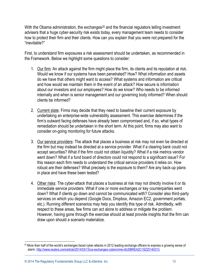With the Obama administration, the exchanges<sup>20</sup> and the financial regulators telling investment advisers that a huge cyber-security risk exists today, every management team needs to consider how to protect their firm and their clients. How can you explain that you were not prepared for the "inevitable?"

First, to understand firm exposures a risk assessment should be undertaken, as recommended in the Framework. Below we highlight some questions to consider:

- 1. Our firm: An attack against the firm might place the firm, its clients and its reputation at risk. Would we know if our systems have been penetrated? How? What information and assets do we have that others might want to access? What systems and information are critical and how would we maintain them in the event of an attack? How secure is information about our investors and our employees? How do we know? Who needs to be informed internally and when is senior management and our governing body informed? When should clients be informed?
- 2. Current state: Firms may decide that they need to baseline their current exposure by undertaking an enterprise-wide vulnerability assessment. This exercise determines if the firm's outward facing defenses have already been compromised and, if so, what types of remediation should be undertaken in the short term. At this point, firms may also want to consider on-going monitoring for future attacks.
- 3. Our service providers: The attack that places a business at risk may not even be directed at the firm but may instead be directed at a service provider. What if a clearing bank could not accept securities? What if the firm could not obtain liquidity? What if a risk metrics vendor went down? What if a fund board of directors could not respond to a significant issue? For this reason each firm needs to understand the critical service providers it relies on. How robust are their defenses? What precisely is the exposure to them? Are any back-up plans in place and have these been tested?
- 4. Other risks: The cyber-attack that places a business at risk may not directly involve it or its immediate service providers. What if one or more exchanges or key counterparties went down? What if clients go down and cannot be communicated with? Consider also third-party services on which you depend (Google Docs, Dropbox, Amazon EC2, government portals, etc.). Running different scenarios may help you identify this type of risk. Admittedly, with respect to these areas, few firms can act alone to address or mitigate the problem. However, having gone through the exercise should at least provide insights that the firm can draw upon should a scenario materialize.

<sup>&</sup>lt;sup>20</sup> More than half of the world's exchanges faced cyber-attacks in 2012 leading exchange officers to express a growing sense of alarm[. http://www.reuters.com/article/2014/03/13/us-exchanges-cybercrime-idUSBREA2C1SZ20140313.](http://www.reuters.com/article/2014/03/13/us-exchanges-cybercrime-idUSBREA2C1SZ20140313)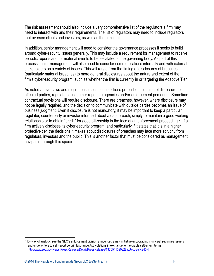The risk assessment should also include a very comprehensive list of the regulators a firm may need to interact with and their requirements. The list of regulators may need to include regulators that oversee clients and investors, as well as the firm itself.

In addition, senior management will need to consider the governance processes it seeks to build around cyber-security issues generally. This may include a requirement for management to receive periodic reports and for material events to be escalated to the governing body. As part of this process senior management will also need to consider communications internally and with external stakeholders on a variety of issues. This will range from the timing of disclosures of breaches (particularly material breaches) to more general disclosures about the nature and extent of the firm's cyber-security program, such as whether the firm is currently in or targeting the Adaptive Tier.

As noted above, laws and regulations in some jurisdictions prescribe the timing of disclosure to affected parties, regulators, consumer reporting agencies and/or enforcement personnel. Sometime contractual provisions will require disclosure. There are breaches, however, where disclosure may not be legally required, and the decision to communicate with outside parties becomes an issue of business judgment. Even if disclosure is not mandatory, it may be important to keep a particular regulator, counterparty or investor informed about a data breach, simply to maintain a good working relationship or to obtain "credit" for good citizenship in the face of an enforcement proceeding.<sup>21</sup> If a firm actively discloses its cyber-security program, and particularly if it states that it is in a higher protective tier, the decisions it makes about disclosures of breaches may face more scrutiny from regulators, investors and the public. This is another factor that must be considered as management navigates through this space.

 $\overline{a}$  $21$  By way of analogy, see the SEC's enforcement division announced a new initiative encouraging municipal securities issuers and underwriters to self-report certain Exchange Act violations in exchange for favorable settlement terms. [http://www.sec.gov/News/PressRelease/Detail/PressRelease/1370541090828#.UycuGYXE40N.](http://www.sec.gov/News/PressRelease/Detail/PressRelease/1370541090828#.UycuGYXE40N)